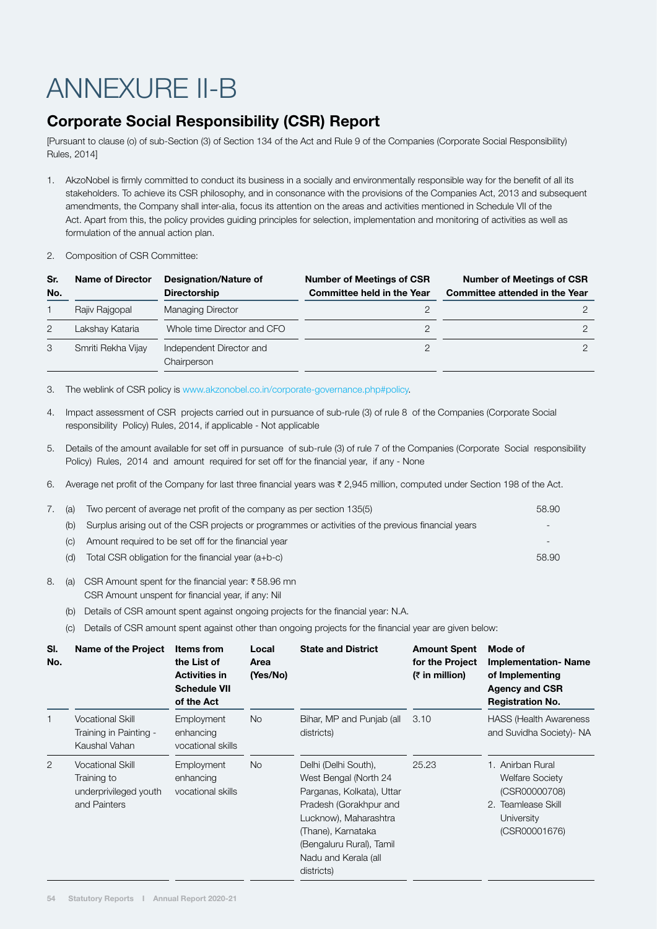## ANNEXURE II-B

## Corporate Social Responsibility (CSR) Report

[Pursuant to clause (o) of sub-Section (3) of Section 134 of the Act and Rule 9 of the Companies (Corporate Social Responsibility) Rules, 2014]

- 1. AkzoNobel is firmly committed to conduct its business in a socially and environmentally responsible way for the benefit of all its stakeholders. To achieve its CSR philosophy, and in consonance with the provisions of the Companies Act, 2013 and subsequent amendments, the Company shall inter-alia, focus its attention on the areas and activities mentioned in Schedule VII of the Act. Apart from this, the policy provides guiding principles for selection, implementation and monitoring of activities as well as formulation of the annual action plan.
- 2. Composition of CSR Committee:

| Sr.<br>No. | <b>Name of Director</b> | Designation/Nature of<br><b>Directorship</b> | <b>Number of Meetings of CSR</b><br><b>Committee held in the Year</b> | <b>Number of Meetings of CSR</b><br><b>Committee attended in the Year</b> |
|------------|-------------------------|----------------------------------------------|-----------------------------------------------------------------------|---------------------------------------------------------------------------|
|            | Rajiv Rajgopal          | Managing Director                            |                                                                       |                                                                           |
| 2          | Lakshay Kataria         | Whole time Director and CFO                  |                                                                       |                                                                           |
| 3          | Smriti Rekha Vijay      | Independent Director and<br>Chairperson      |                                                                       |                                                                           |

3. The weblink of CSR policy is www.akzonobel.co.in/corporate-governance.php#policy.

- 4. Impact assessment of CSR projects carried out in pursuance of sub-rule (3) of rule 8 of the Companies (Corporate Social responsibility Policy) Rules, 2014, if applicable - Not applicable
- 5. Details of the amount available for set off in pursuance of sub-rule (3) of rule 7 of the Companies (Corporate Social responsibility Policy) Rules, 2014 and amount required for set off for the financial year, if any - None
- 6. Average net profit of the Company for last three financial years was  $\bar{\tau}$  2,945 million, computed under Section 198 of the Act.

| $\left( \begin{array}{cc} 1 & 0 \\ 0 & 0 \end{array} \right)$ | Two percent of average net profit of the company as per section 135(5)                              | 58.90                    |
|---------------------------------------------------------------|-----------------------------------------------------------------------------------------------------|--------------------------|
| (b)                                                           | Surplus arising out of the CSR projects or programmes or activities of the previous financial years | $\overline{\phantom{0}}$ |
| (C)                                                           | Amount required to be set off for the financial year                                                |                          |
| (d)                                                           | Total CSR obligation for the financial year $(a+b-c)$                                               | 58.90                    |
|                                                               |                                                                                                     |                          |

- 8. (a) CSR Amount spent for the financial year:  $\bar{\tau}$  58.96 mn CSR Amount unspent for financial year, if any: Nil
	- (b) Details of CSR amount spent against ongoing projects for the financial year: N.A.
	- (c) Details of CSR amount spent against other than ongoing projects for the financial year are given below:

| SI.<br>No. | <b>Name of the Project</b>                                                      | <b>Items from</b><br>the List of<br><b>Activities in</b><br><b>Schedule VII</b><br>of the Act | Local<br>Area<br>(Yes/No) | <b>State and District</b>                                                                                                                                                                                             | <b>Amount Spent</b><br>for the Project<br>$(7$ in million) | Mode of<br><b>Implementation-Name</b><br>of Implementing<br><b>Agency and CSR</b><br><b>Registration No.</b>     |
|------------|---------------------------------------------------------------------------------|-----------------------------------------------------------------------------------------------|---------------------------|-----------------------------------------------------------------------------------------------------------------------------------------------------------------------------------------------------------------------|------------------------------------------------------------|------------------------------------------------------------------------------------------------------------------|
| 1          | <b>Vocational Skill</b><br>Training in Painting -<br>Kaushal Vahan              | Employment<br>enhancing<br>vocational skills                                                  | <b>No</b>                 | Bihar, MP and Punjab (all<br>districts)                                                                                                                                                                               | 3.10                                                       | <b>HASS (Health Awareness</b><br>and Suvidha Society)- NA                                                        |
| 2          | <b>Vocational Skill</b><br>Training to<br>underprivileged youth<br>and Painters | Employment<br>enhancing<br>vocational skills                                                  | <b>No</b>                 | Delhi (Delhi South),<br>West Bengal (North 24<br>Parganas, Kolkata), Uttar<br>Pradesh (Gorakhpur and<br>Lucknow), Maharashtra<br>(Thane), Karnataka<br>(Bengaluru Rural), Tamil<br>Nadu and Kerala (all<br>districts) | 25.23                                                      | 1. Anirban Rural<br><b>Welfare Society</b><br>(CSR00000708)<br>2. Teamlease Skill<br>University<br>(CSR00001676) |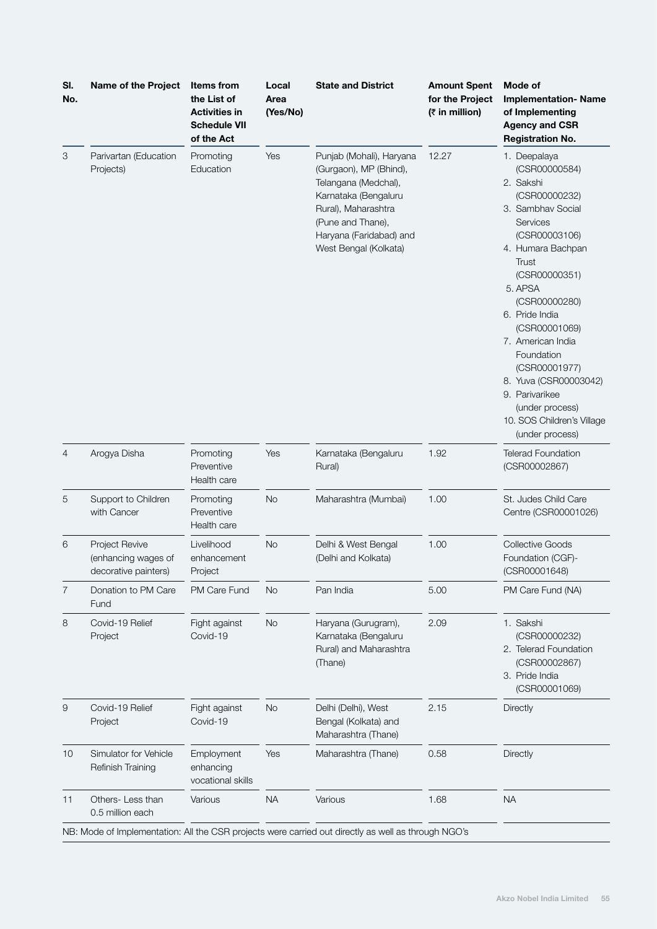| 3<br>Parivartan (Education<br>Promoting<br>Education<br>Projects)                                                 | Yes                      | Punjab (Mohali), Haryana<br>(Gurgaon), MP (Bhind),<br>Telangana (Medchal),<br>Karnataka (Bengaluru<br>Rural), Maharashtra<br>(Pune and Thane),<br>Haryana (Faridabad) and | 12.27 | 1. Deepalaya<br>(CSR00000584)<br>2. Sakshi<br>(CSR00000232)                                                                                                                                                                                                                                                                     |
|-------------------------------------------------------------------------------------------------------------------|--------------------------|---------------------------------------------------------------------------------------------------------------------------------------------------------------------------|-------|---------------------------------------------------------------------------------------------------------------------------------------------------------------------------------------------------------------------------------------------------------------------------------------------------------------------------------|
|                                                                                                                   |                          | West Bengal (Kolkata)                                                                                                                                                     |       | 3. Sambhav Social<br>Services<br>(CSR00003106)<br>4. Humara Bachpan<br>Trust<br>(CSR00000351)<br>5. APSA<br>(CSR00000280)<br>6. Pride India<br>(CSR00001069)<br>7. American India<br>Foundation<br>(CSR00001977)<br>8. Yuva (CSR00003042)<br>9. Parivarikee<br>(under process)<br>10. SOS Children's Village<br>(under process) |
| Arogya Disha<br>$\overline{4}$<br>Promoting<br>Preventive<br>Health care                                          | Yes                      | Karnataka (Bengaluru<br>Rural)                                                                                                                                            | 1.92  | <b>Telerad Foundation</b><br>(CSR00002867)                                                                                                                                                                                                                                                                                      |
| 5<br>Support to Children<br>Promoting<br>with Cancer<br>Preventive<br>Health care                                 | <b>No</b>                | Maharashtra (Mumbai)                                                                                                                                                      | 1.00  | St. Judes Child Care<br>Centre (CSR00001026)                                                                                                                                                                                                                                                                                    |
| <b>Project Revive</b><br>Livelihood<br>6<br>(enhancing wages of<br>enhancement<br>decorative painters)<br>Project | <b>No</b>                | Delhi & West Bengal<br>(Delhi and Kolkata)                                                                                                                                | 1.00  | Collective Goods<br>Foundation (CGF)-<br>(CSR00001648)                                                                                                                                                                                                                                                                          |
| 7<br>Donation to PM Care<br><b>PM Care Fund</b><br>Fund                                                           | <b>No</b>                | Pan India                                                                                                                                                                 | 5.00  | PM Care Fund (NA)                                                                                                                                                                                                                                                                                                               |
| 8<br>Covid-19 Relief<br>Fight against<br>Covid-19<br>Project                                                      | <b>No</b>                | Haryana (Gurugram),<br>Karnataka (Bengaluru<br>Rural) and Maharashtra<br>(Thane)                                                                                          | 2.09  | 1. Sakshi<br>(CSR00000232)<br>2. Telerad Foundation<br>(CSR00002867)<br>3. Pride India<br>(CSR00001069)                                                                                                                                                                                                                         |
| 9<br>Covid-19 Relief<br>Fight against<br>Project<br>Covid-19                                                      | <b>No</b>                | Delhi (Delhi), West<br>Bengal (Kolkata) and<br>Maharashtra (Thane)                                                                                                        | 2.15  | Directly                                                                                                                                                                                                                                                                                                                        |
| Simulator for Vehicle<br>Employment<br>10<br>Refinish Training<br>enhancing                                       | Yes<br>vocational skills | Maharashtra (Thane)                                                                                                                                                       | 0.58  | Directly                                                                                                                                                                                                                                                                                                                        |
| Others-Less than<br>11<br>Various<br>0.5 million each                                                             | <b>NA</b>                | Various                                                                                                                                                                   | 1.68  | <b>NA</b>                                                                                                                                                                                                                                                                                                                       |